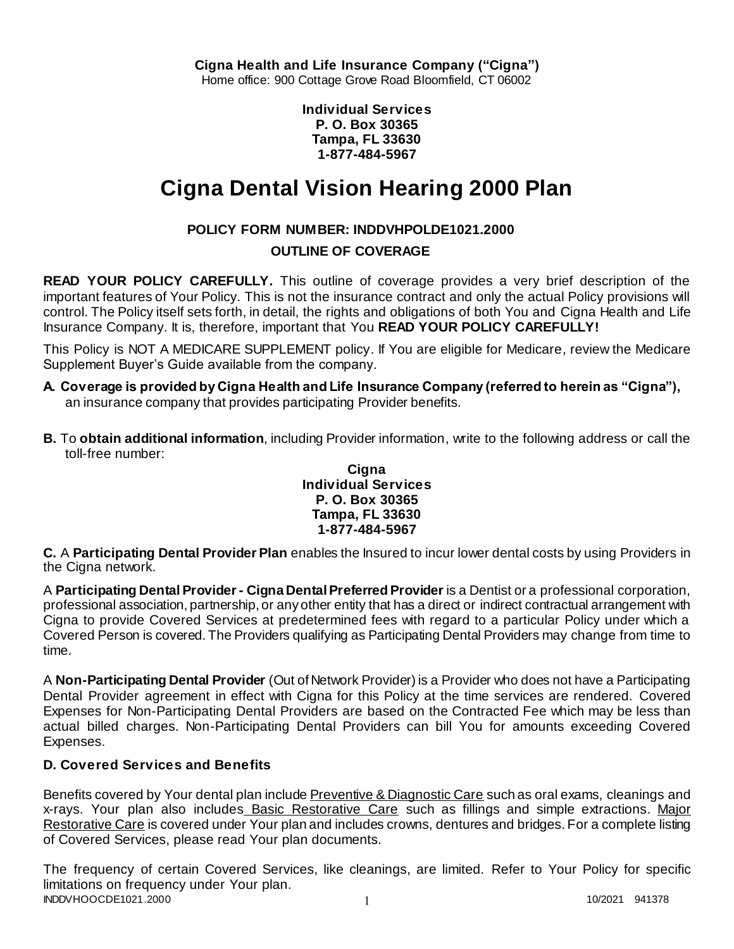**Individual Services P. O. Box 30365 Tampa, FL 33630 1-877-484-5967**

# **Cigna Dental Vision Hearing 2000 Plan**

# **POLICY FORM NUMBER: INDDVHPOLDE1021.2000**

# **OUTLINE OF COVERAGE**

**READ YOUR POLICY CAREFULLY.** This outline of coverage provides a very brief description of the important features of Your Policy. This is not the insurance contract and only the actual Policy provisions will control. The Policy itself sets forth, in detail, the rights and obligations of both You and Cigna Health and Life Insurance Company. It is, therefore, important that You **READ YOUR POLICY CAREFULLY!** 

This Policy is NOT A MEDICARE SUPPLEMENT policy. If You are eligible for Medicare, review the Medicare Supplement Buyer's Guide available from the company.

- **A. Coverage is provided by Cigna Health and Life Insurance Company (referred to herein as "Cigna"),**  an insurance company that provides participating Provider benefits.
- **B.** To **obtain additional information**, including Provider information, write to the following address or call the toll-free number:

### **Cigna Individual Services P. O. Box 30365 Tampa, FL 33630 1-877-484-5967**

**C.** A **Participating Dental Provider Plan** enables the Insured to incur lower dental costs by using Providers in the Cigna network.

A **Participating Dental Provider - Cigna Dental Preferred Provider** is a Dentist or a professional corporation, professional association, partnership, or any other entity that has a direct or indirect contractual arrangement with Cigna to provide Covered Services at predetermined fees with regard to a particular Policy under which a Covered Person is covered. The Providers qualifying as Participating Dental Providers may change from time to time.

A **Non-Participating Dental Provider** (Out of Network Provider) is a Provider who does not have a Participating Dental Provider agreement in effect with Cigna for this Policy at the time services are rendered. Covered Expenses for Non-Participating Dental Providers are based on the Contracted Fee which may be less than actual billed charges. Non-Participating Dental Providers can bill You for amounts exceeding Covered Expenses.

# **D. Covered Services and Benefits**

Benefits covered by Your dental plan include Preventive & Diagnostic Care such as oral exams, cleanings and x-rays. Your plan also includes Basic Restorative Care such as fillings and simple extractions. Major Restorative Care is covered under Your plan and includes crowns, dentures and bridges. For a complete listing of Covered Services, please read Your plan documents.

INDDVHOOCDE1021.2000 1 10/2021 941378 The frequency of certain Covered Services, like cleanings, are limited. Refer to Your Policy for specific limitations on frequency under Your plan.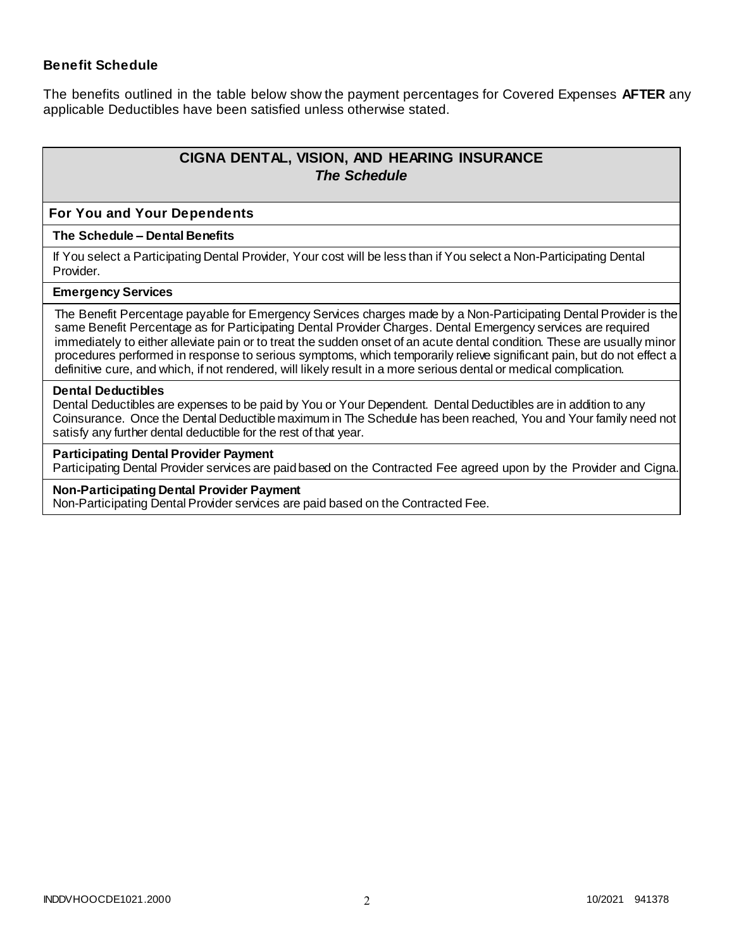### **Benefit Schedule**

The benefits outlined in the table below show the payment percentages for Covered Expenses **AFTER** any applicable Deductibles have been satisfied unless otherwise stated.

# **CIGNA DENTAL, VISION, AND HEARING INSURANCE** *The Schedule*

#### **For You and Your Dependents**

#### **The Schedule – Dental Benefits**

If You select a Participating Dental Provider, Your cost will be less than if You select a Non-Participating Dental Provider.

#### **Emergency Services**

The Benefit Percentage payable for Emergency Services charges made by a Non-Participating Dental Provider is the same Benefit Percentage as for Participating Dental Provider Charges. Dental Emergency services are required immediately to either alleviate pain or to treat the sudden onset of an acute dental condition. These are usually minor procedures performed in response to serious symptoms, which temporarily relieve significant pain, but do not effect a definitive cure, and which, if not rendered, will likely result in a more serious dental or medical complication.

#### **Dental Deductibles**

Dental Deductibles are expenses to be paid by You or Your Dependent. Dental Deductibles are in addition to any Coinsurance. Once the Dental Deductible maximum in The Schedule has been reached, You and Your family need not satisfy any further dental deductible for the rest of that year.

#### **Participating Dental Provider Payment**

Participating Dental Provider services are paid based on the Contracted Fee agreed upon by the Provider and Cigna.

#### **Non-Participating Dental Provider Payment**

Non-Participating Dental Provider services are paid based on the Contracted Fee.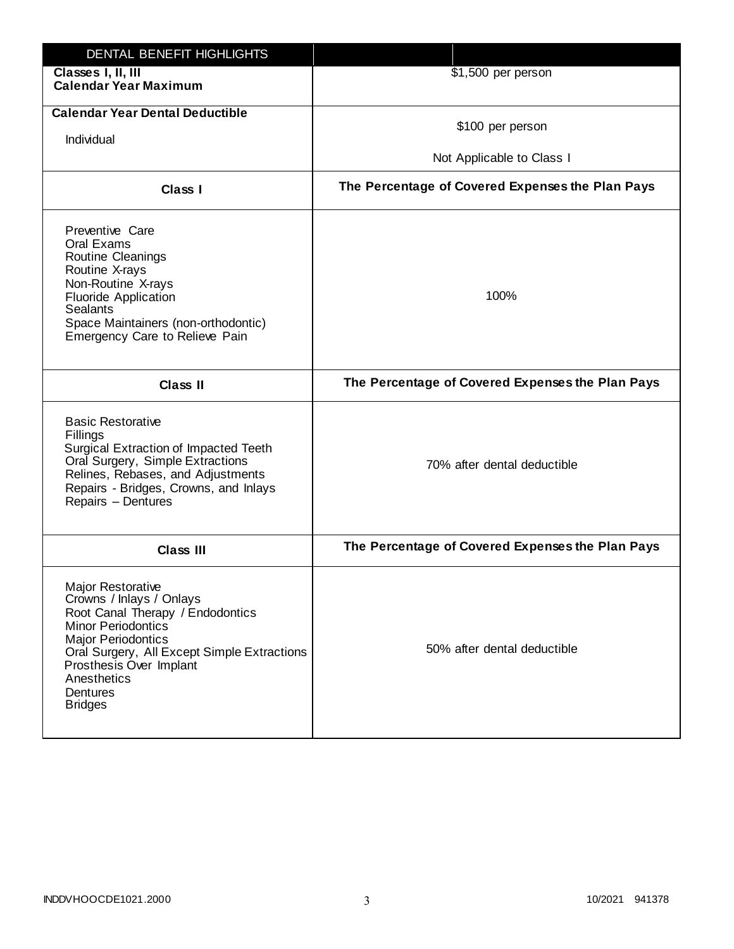| DENTAL BENEFIT HIGHLIGHTS                                                                                                                                                                                                                                          |                                                  |
|--------------------------------------------------------------------------------------------------------------------------------------------------------------------------------------------------------------------------------------------------------------------|--------------------------------------------------|
| Classes I, II, III<br><b>Calendar Year Maximum</b>                                                                                                                                                                                                                 | \$1,500 per person                               |
| <b>Calendar Year Dental Deductible</b><br>Individual                                                                                                                                                                                                               | \$100 per person<br>Not Applicable to Class I    |
| Class I                                                                                                                                                                                                                                                            | The Percentage of Covered Expenses the Plan Pays |
| Preventive Care<br>Oral Exams<br>Routine Cleanings<br>Routine X-rays<br>Non-Routine X-rays<br><b>Fluoride Application</b><br><b>Sealants</b><br>Space Maintainers (non-orthodontic)<br>Emergency Care to Relieve Pain                                              | 100%                                             |
| <b>Class II</b>                                                                                                                                                                                                                                                    | The Percentage of Covered Expenses the Plan Pays |
| <b>Basic Restorative</b><br>Fillings<br>Surgical Extraction of Impacted Teeth<br>Oral Surgery, Simple Extractions<br>Relines, Rebases, and Adjustments<br>Repairs - Bridges, Crowns, and Inlays<br>Repairs - Dentures                                              | 70% after dental deductible                      |
| <b>Class III</b>                                                                                                                                                                                                                                                   | The Percentage of Covered Expenses the Plan Pays |
| Major Restorative<br>Crowns / Inlays / Onlays<br>Root Canal Therapy / Endodontics<br><b>Minor Periodontics</b><br><b>Major Periodontics</b><br>Oral Surgery, All Except Simple Extractions<br>Prosthesis Over Implant<br>Anesthetics<br>Dentures<br><b>Bridges</b> | 50% after dental deductible                      |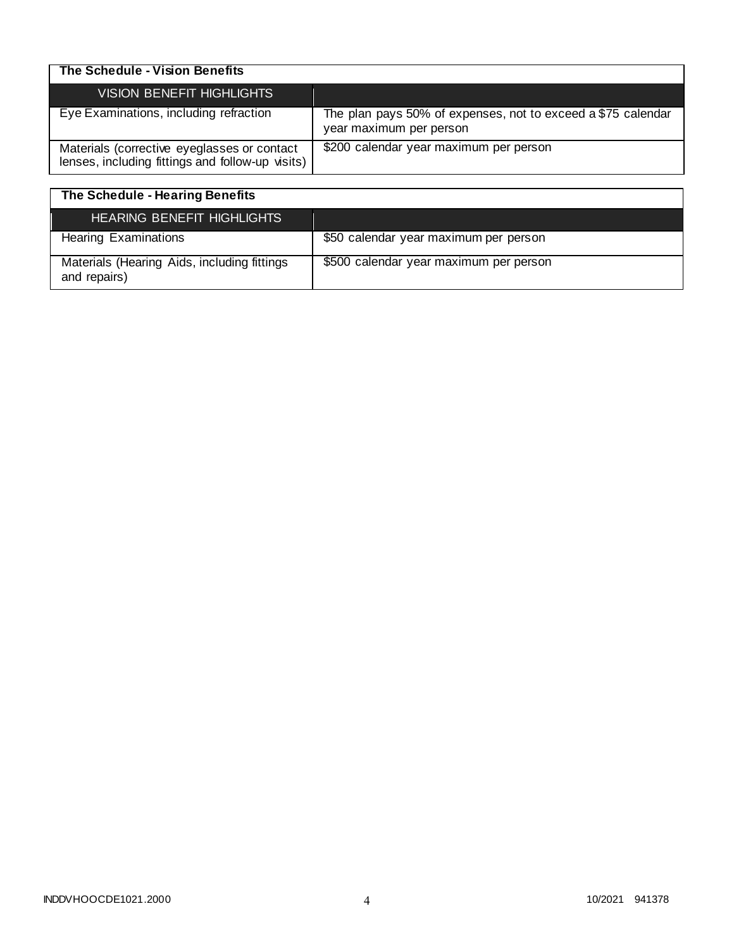| The Schedule - Vision Benefits                                                                  |                                                                                         |
|-------------------------------------------------------------------------------------------------|-----------------------------------------------------------------------------------------|
| VISION BENEFIT HIGHLIGHTS                                                                       |                                                                                         |
| Eye Examinations, including refraction                                                          | The plan pays 50% of expenses, not to exceed a \$75 calendar<br>year maximum per person |
| Materials (corrective eyeglasses or contact<br>lenses, including fittings and follow-up visits) | \$200 calendar year maximum per person                                                  |

| The Schedule - Hearing Benefits                             |                                        |
|-------------------------------------------------------------|----------------------------------------|
| <b>HEARING BENEFIT HIGHLIGHTS</b>                           |                                        |
| <b>Hearing Examinations</b>                                 | \$50 calendar year maximum per person  |
| Materials (Hearing Aids, including fittings<br>and repairs) | \$500 calendar year maximum per person |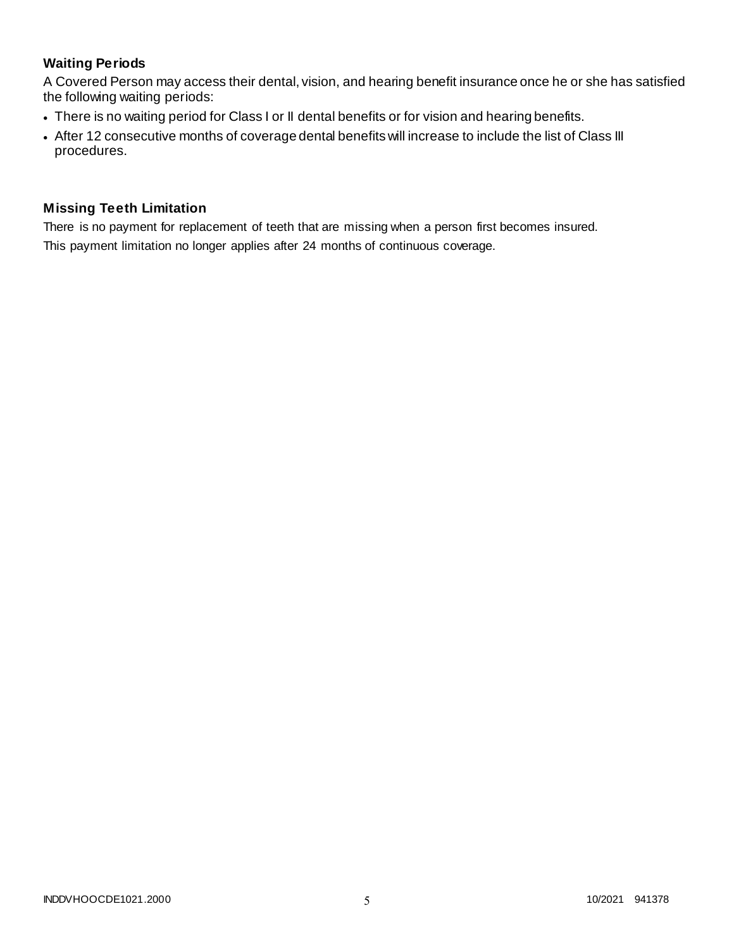# **Waiting Periods**

A Covered Person may access their dental, vision, and hearing benefit insurance once he or she has satisfied the following waiting periods:

- There is no waiting period for Class I or II dental benefits or for vision and hearing benefits.
- After 12 consecutive months of coverage dental benefits will increase to include the list of Class III procedures.

### **Missing Teeth Limitation**

There is no payment for replacement of teeth that are missing when a person first becomes insured. This payment limitation no longer applies after 24 months of continuous coverage.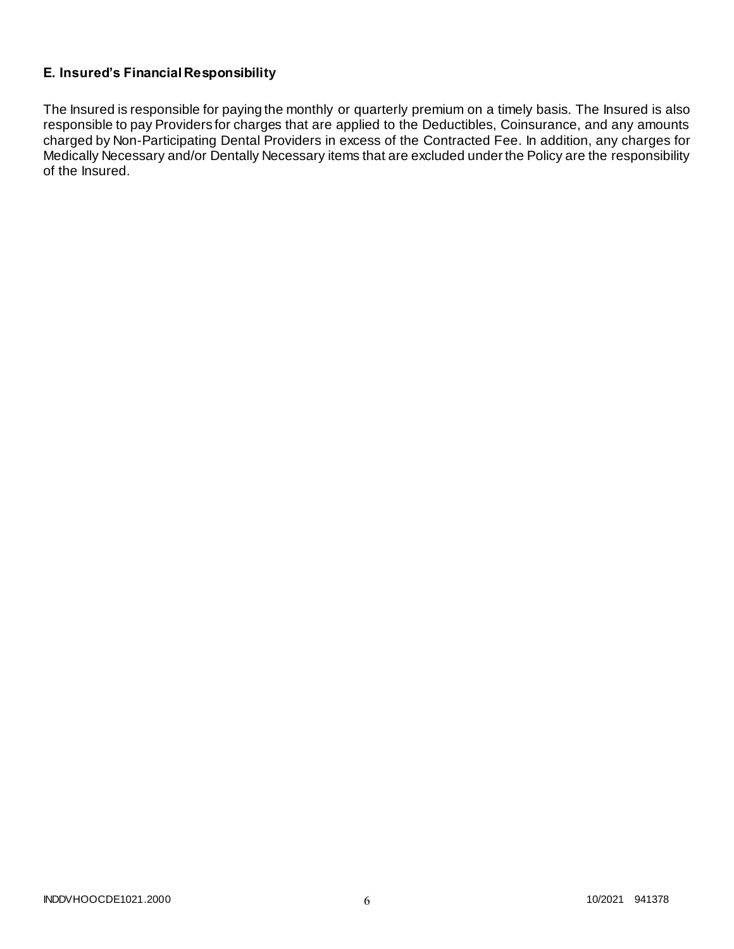# **E. Insured's Financial Responsibility**

The Insured is responsible for paying the monthly or quarterly premium on a timely basis. The Insured is also responsible to pay Providers for charges that are applied to the Deductibles, Coinsurance, and any amounts charged by Non-Participating Dental Providers in excess of the Contracted Fee. In addition, any charges for Medically Necessary and/or Dentally Necessary items that are excluded under the Policy are the responsibility of the Insured.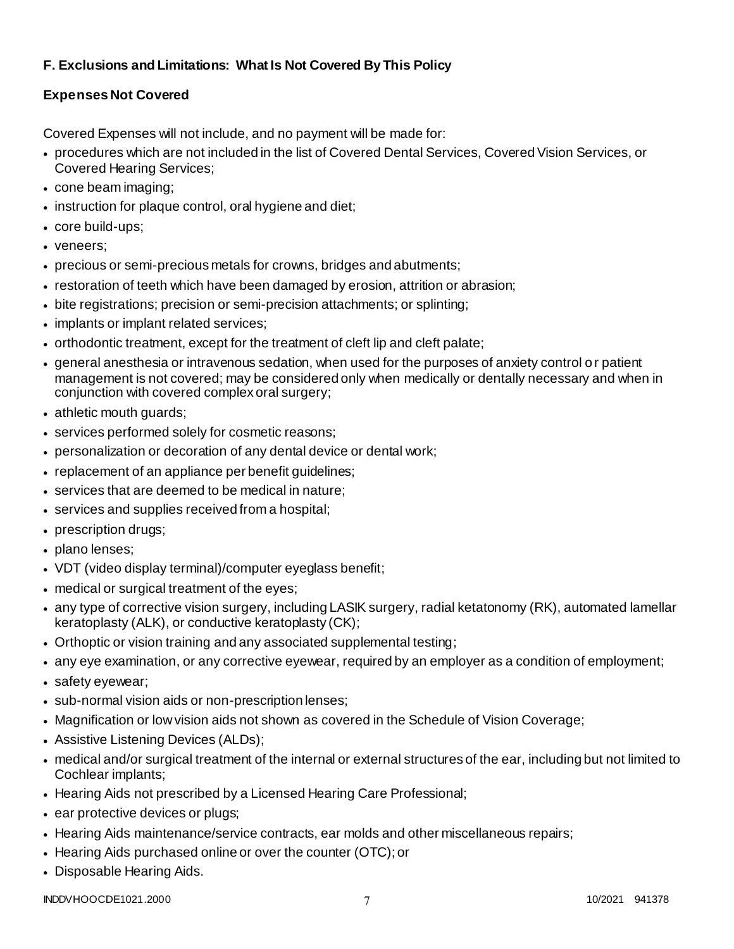# **F. Exclusions and Limitations: What Is Not Covered By This Policy**

# **Expenses Not Covered**

Covered Expenses will not include, and no payment will be made for:

- procedures which are not included in the list of Covered Dental Services, Covered Vision Services, or Covered Hearing Services;
- cone beam imaging;
- instruction for plaque control, oral hygiene and diet;
- core build-ups;
- veneers;
- precious or semi-precious metals for crowns, bridges and abutments;
- restoration of teeth which have been damaged by erosion, attrition or abrasion;
- bite registrations; precision or semi-precision attachments; or splinting;
- implants or implant related services;
- orthodontic treatment, except for the treatment of cleft lip and cleft palate;
- general anesthesia or intravenous sedation, when used for the purposes of anxiety control o r patient management is not covered; may be considered only when medically or dentally necessary and when in conjunction with covered complex oral surgery;
- athletic mouth guards;
- services performed solely for cosmetic reasons;
- personalization or decoration of any dental device or dental work;
- replacement of an appliance per benefit guidelines;
- services that are deemed to be medical in nature;
- services and supplies received from a hospital;
- prescription drugs;
- plano lenses:
- VDT (video display terminal)/computer eyeglass benefit;
- medical or surgical treatment of the eyes;
- any type of corrective vision surgery, including LASIK surgery, radial ketatonomy (RK), automated lamellar keratoplasty (ALK), or conductive keratoplasty (CK);
- Orthoptic or vision training and any associated supplemental testing;
- any eye examination, or any corrective eyewear, required by an employer as a condition of employment;
- safety eyewear;
- sub-normal vision aids or non-prescription lenses;
- Magnification or low vision aids not shown as covered in the Schedule of Vision Coverage;
- Assistive Listening Devices (ALDs);
- medical and/or surgical treatment of the internal or external structures of the ear, including but not limited to Cochlear implants;
- Hearing Aids not prescribed by a Licensed Hearing Care Professional;
- ear protective devices or plugs;
- Hearing Aids maintenance/service contracts, ear molds and other miscellaneous repairs;
- Hearing Aids purchased online or over the counter (OTC); or
- Disposable Hearing Aids.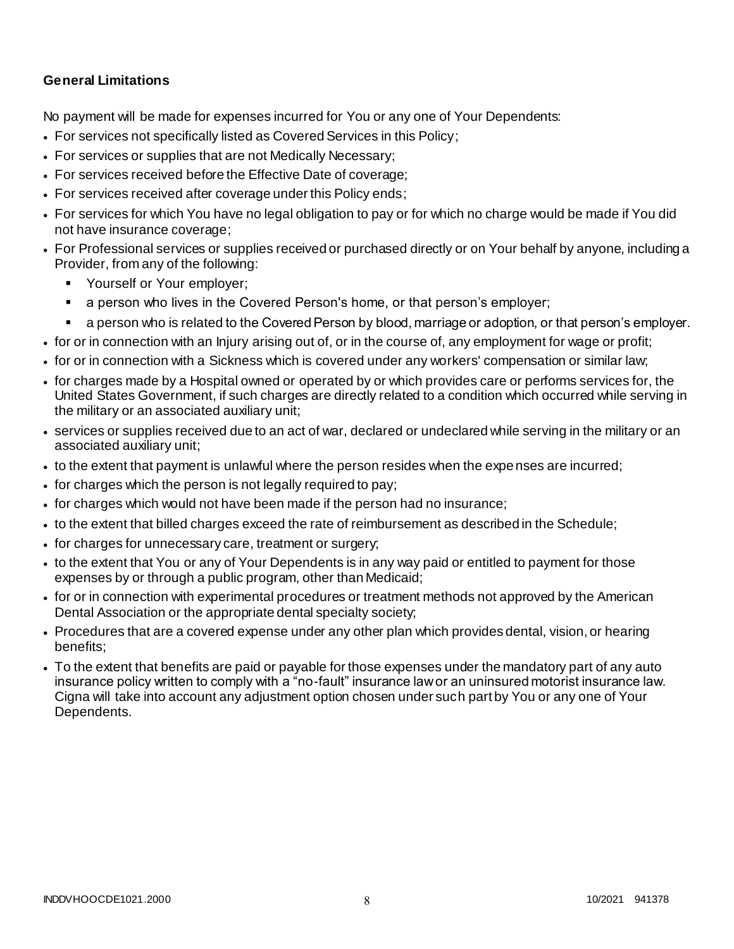### **General Limitations**

No payment will be made for expenses incurred for You or any one of Your Dependents:

- For services not specifically listed as Covered Services in this Policy;
- For services or supplies that are not Medically Necessary;
- For services received before the Effective Date of coverage;
- For services received after coverage under this Policy ends;
- For services for which You have no legal obligation to pay or for which no charge would be made if You did not have insurance coverage;
- For Professional services or supplies received or purchased directly or on Your behalf by anyone, including a Provider, from any of the following:
	- **Yourself or Your employer;**
	- a person who lives in the Covered Person's home, or that person's employer;
	- a person who is related to the Covered Person by blood, marriage or adoption, or that person's employer.
- for or in connection with an Injury arising out of, or in the course of, any employment for wage or profit;
- for or in connection with a Sickness which is covered under any workers' compensation or similar law;
- for charges made by a Hospital owned or operated by or which provides care or performs services for, the United States Government, if such charges are directly related to a condition which occurred while serving in the military or an associated auxiliary unit;
- services or supplies received due to an act of war, declared or undeclared while serving in the military or an associated auxiliary unit;
- to the extent that payment is unlawful where the person resides when the expenses are incurred;
- for charges which the person is not legally required to pay;
- for charges which would not have been made if the person had no insurance;
- to the extent that billed charges exceed the rate of reimbursement as described in the Schedule;
- for charges for unnecessary care, treatment or surgery;
- to the extent that You or any of Your Dependents is in any way paid or entitled to payment for those expenses by or through a public program, other than Medicaid;
- for or in connection with experimental procedures or treatment methods not approved by the American Dental Association or the appropriate dental specialty society;
- Procedures that are a covered expense under any other plan which provides dental, vision, or hearing benefits;
- To the extent that benefits are paid or payable for those expenses under the mandatory part of any auto insurance policy written to comply with a "no-fault" insurance law or an uninsured motorist insurance law. Cigna will take into account any adjustment option chosen under such part by You or any one of Your Dependents.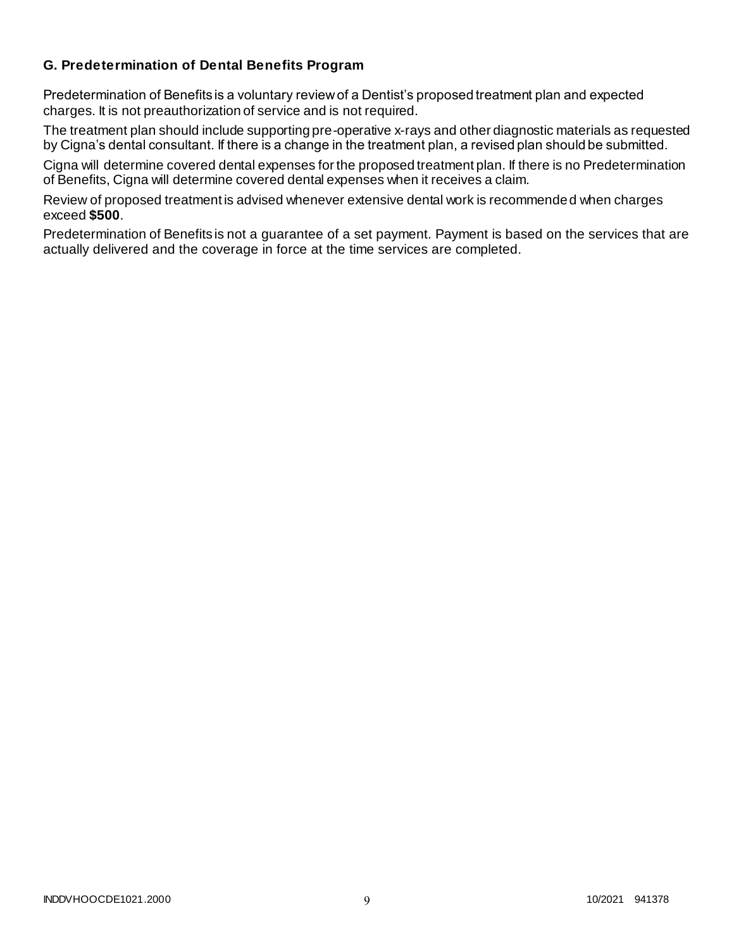### **G. Predetermination of Dental Benefits Program**

Predetermination of Benefits is a voluntary review of a Dentist's proposed treatment plan and expected charges. It is not preauthorization of service and is not required.

The treatment plan should include supporting pre-operative x-rays and other diagnostic materials as requested by Cigna's dental consultant. If there is a change in the treatment plan, a revised plan should be submitted.

Cigna will determine covered dental expenses for the proposed treatment plan. If there is no Predetermination of Benefits, Cigna will determine covered dental expenses when it receives a claim.

Review of proposed treatment is advised whenever extensive dental work is recommended when charges exceed **\$500**.

Predetermination of Benefits is not a guarantee of a set payment. Payment is based on the services that are actually delivered and the coverage in force at the time services are completed.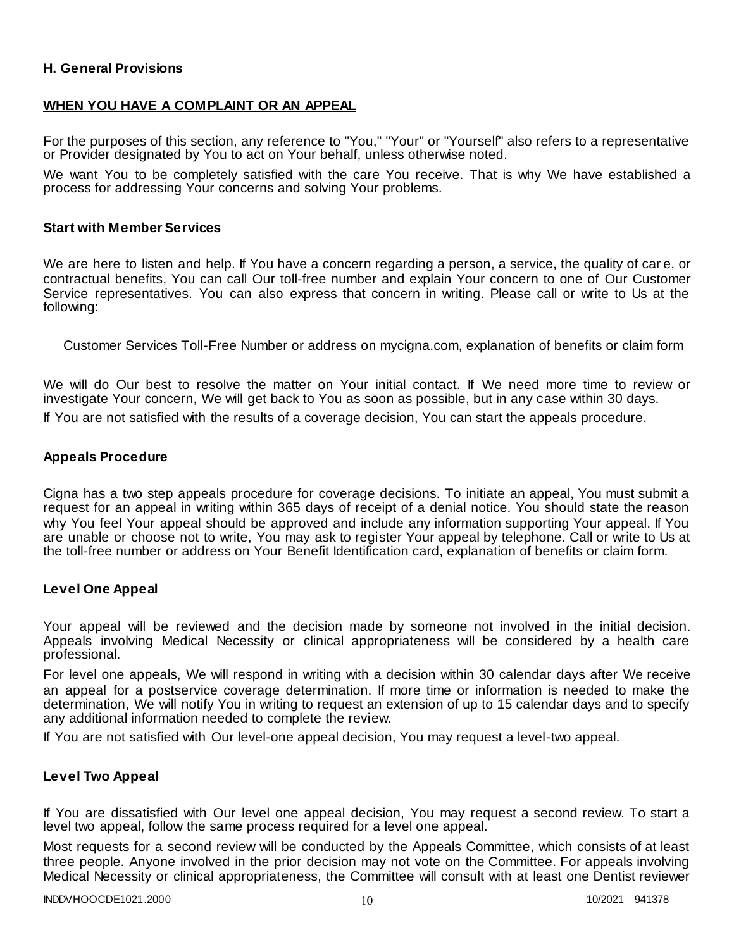### **H. General Provisions**

### **WHEN YOU HAVE A COMPLAINT OR AN APPEAL**

For the purposes of this section, any reference to "You," "Your" or "Yourself" also refers to a representative or Provider designated by You to act on Your behalf, unless otherwise noted.

We want You to be completely satisfied with the care You receive. That is why We have established a process for addressing Your concerns and solving Your problems.

#### **Start with Member Services**

We are here to listen and help. If You have a concern regarding a person, a service, the quality of car e, or contractual benefits, You can call Our toll-free number and explain Your concern to one of Our Customer Service representatives. You can also express that concern in writing. Please call or write to Us at the following:

Customer Services Toll-Free Number or address on mycigna.com, explanation of benefits or claim form

We will do Our best to resolve the matter on Your initial contact. If We need more time to review or investigate Your concern, We will get back to You as soon as possible, but in any case within 30 days.

If You are not satisfied with the results of a coverage decision, You can start the appeals procedure.

#### **Appeals Procedure**

Cigna has a two step appeals procedure for coverage decisions. To initiate an appeal, You must submit a request for an appeal in writing within 365 days of receipt of a denial notice. You should state the reason why You feel Your appeal should be approved and include any information supporting Your appeal. If You are unable or choose not to write, You may ask to register Your appeal by telephone. Call or write to Us at the toll-free number or address on Your Benefit Identification card, explanation of benefits or claim form.

#### **Level One Appeal**

Your appeal will be reviewed and the decision made by someone not involved in the initial decision. Appeals involving Medical Necessity or clinical appropriateness will be considered by a health care professional.

For level one appeals, We will respond in writing with a decision within 30 calendar days after We receive an appeal for a postservice coverage determination. If more time or information is needed to make the determination, We will notify You in writing to request an extension of up to 15 calendar days and to specify any additional information needed to complete the review.

If You are not satisfied with Our level-one appeal decision, You may request a level-two appeal.

#### **Level Two Appeal**

If You are dissatisfied with Our level one appeal decision, You may request a second review. To start a level two appeal, follow the same process required for a level one appeal.

Most requests for a second review will be conducted by the Appeals Committee, which consists of at least three people. Anyone involved in the prior decision may not vote on the Committee. For appeals involving Medical Necessity or clinical appropriateness, the Committee will consult with at least one Dentist reviewer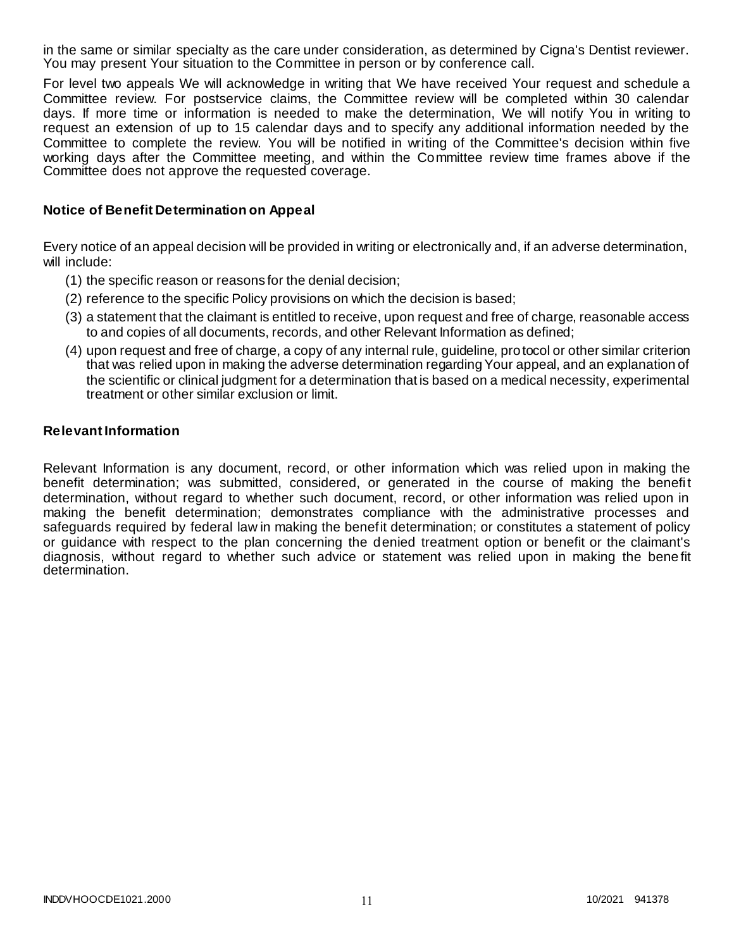in the same or similar specialty as the care under consideration, as determined by Cigna's Dentist reviewer. You may present Your situation to the Committee in person or by conference call.

For level two appeals We will acknowledge in writing that We have received Your request and schedule a Committee review. For postservice claims, the Committee review will be completed within 30 calendar days. If more time or information is needed to make the determination, We will notify You in writing to request an extension of up to 15 calendar days and to specify any additional information needed by the Committee to complete the review. You will be notified in writing of the Committee's decision within five working days after the Committee meeting, and within the Committee review time frames above if the Committee does not approve the requested coverage.

### **Notice of Benefit Determination on Appeal**

Every notice of an appeal decision will be provided in writing or electronically and, if an adverse determination, will include:

- (1) the specific reason or reasons for the denial decision;
- (2) reference to the specific Policy provisions on which the decision is based;
- (3) a statement that the claimant is entitled to receive, upon request and free of charge, reasonable access to and copies of all documents, records, and other Relevant Information as defined;
- (4) upon request and free of charge, a copy of any internal rule, guideline, protocol or other similar criterion that was relied upon in making the adverse determination regarding Your appeal, and an explanation of the scientific or clinical judgment for a determination that is based on a medical necessity, experimental treatment or other similar exclusion or limit.

#### **Relevant Information**

Relevant Information is any document, record, or other information which was relied upon in making the benefit determination; was submitted, considered, or generated in the course of making the benefit determination, without regard to whether such document, record, or other information was relied upon in making the benefit determination; demonstrates compliance with the administrative processes and safeguards required by federal law in making the benefit determination; or constitutes a statement of policy or guidance with respect to the plan concerning the denied treatment option or benefit or the claimant's diagnosis, without regard to whether such advice or statement was relied upon in making the bene fit determination.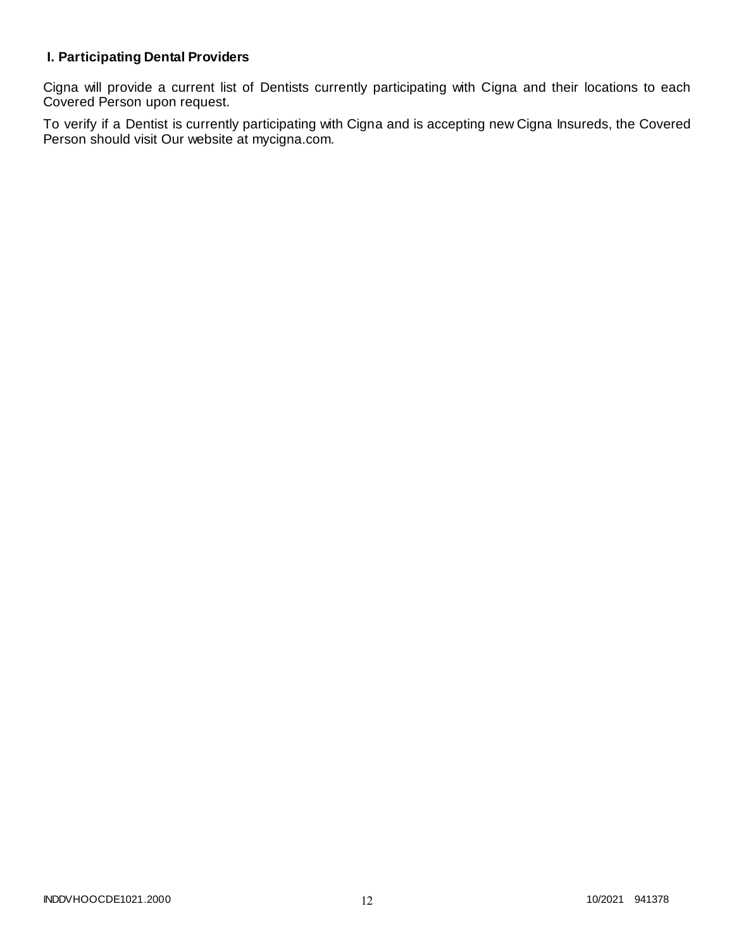# **I. Participating Dental Providers**

Cigna will provide a current list of Dentists currently participating with Cigna and their locations to each Covered Person upon request.

To verify if a Dentist is currently participating with Cigna and is accepting new Cigna Insureds, the Covered Person should visit Our website at mycigna.com.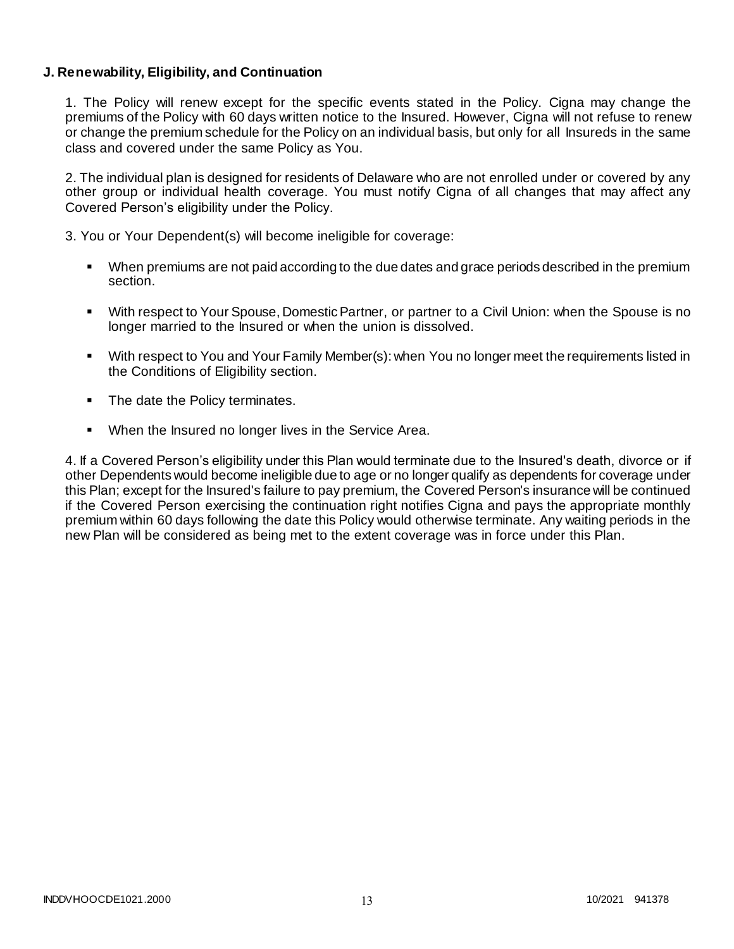### **J. Renewability, Eligibility, and Continuation**

1. The Policy will renew except for the specific events stated in the Policy. Cigna may change the premiums of the Policy with 60 days written notice to the Insured. However, Cigna will not refuse to renew or change the premium schedule for the Policy on an individual basis, but only for all Insureds in the same class and covered under the same Policy as You.

2. The individual plan is designed for residents of Delaware who are not enrolled under or covered by any other group or individual health coverage. You must notify Cigna of all changes that may affect any Covered Person's eligibility under the Policy.

3. You or Your Dependent(s) will become ineligible for coverage:

- When premiums are not paid according to the due dates and grace periods described in the premium section.
- With respect to Your Spouse, Domestic Partner, or partner to a Civil Union: when the Spouse is no longer married to the Insured or when the union is dissolved.
- With respect to You and Your Family Member(s): when You no longer meet the requirements listed in the Conditions of Eligibility section.
- The date the Policy terminates.
- When the Insured no longer lives in the Service Area.

4. If a Covered Person's eligibility under this Plan would terminate due to the Insured's death, divorce or if other Dependents would become ineligible due to age or no longer qualify as dependents for coverage under this Plan; except for the Insured's failure to pay premium, the Covered Person's insurance will be continued if the Covered Person exercising the continuation right notifies Cigna and pays the appropriate monthly premium within 60 days following the date this Policy would otherwise terminate. Any waiting periods in the new Plan will be considered as being met to the extent coverage was in force under this Plan.